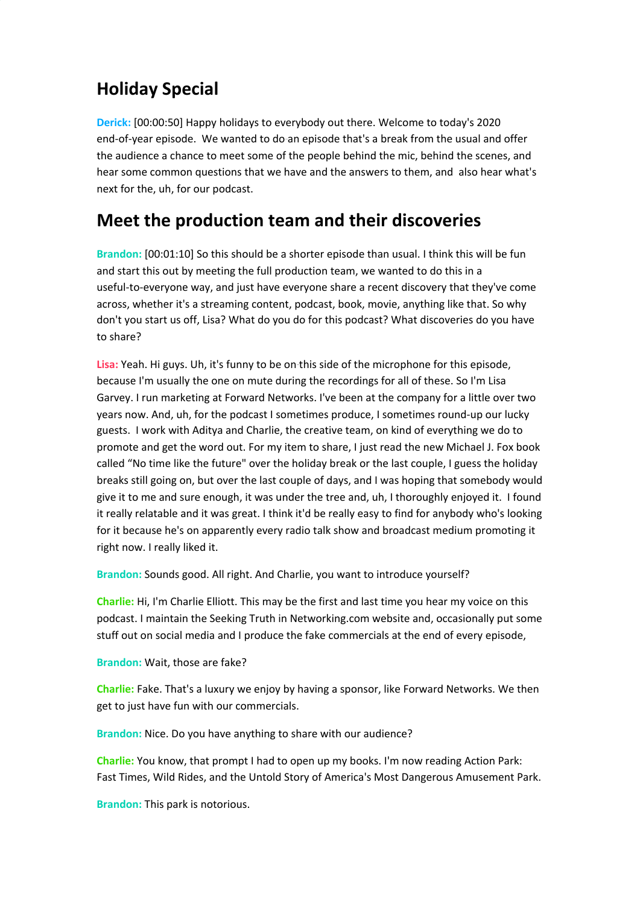## **Holiday Special**

**Derick:** [00:00:50] Happy holidays to everybody out there. Welcome to today's 2020 end-of-year episode. We wanted to do an episode that's a break from the usual and offer the audience a chance to meet some of the people behind the mic, behind the scenes, and hear some common questions that we have and the answers to them, and also hear what's next for the, uh, for our podcast.

#### **Meet the production team and their discoveries**

**Brandon:** [00:01:10] So this should be a shorter episode than usual. I think this will be fun and start this out by meeting the full production team, we wanted to do this in a useful-to-everyone way, and just have everyone share a recent discovery that they've come across, whether it's a streaming content, podcast, book, movie, anything like that. So why don't you start us off, Lisa? What do you do for this podcast? What discoveries do you have to share?

**Lisa:** Yeah. Hi guys. Uh, it's funny to be on this side of the microphone for this episode, because I'm usually the one on mute during the recordings for all of these. So I'm Lisa Garvey. I run marketing at Forward Networks. I've been at the company for a little over two years now. And, uh, for the podcast I sometimes produce, I sometimes round-up our lucky guests. I work with Aditya and Charlie, the creative team, on kind of everything we do to promote and get the word out. For my item to share, I just read the new Michael J. Fox book called "No time like the future" over the holiday break or the last couple, I guess the holiday breaks still going on, but over the last couple of days, and I was hoping that somebody would give it to me and sure enough, it was under the tree and, uh, I thoroughly enjoyed it. I found it really relatable and it was great. I think it'd be really easy to find for anybody who's looking for it because he's on apparently every radio talk show and broadcast medium promoting it right now. I really liked it.

**Brandon:** Sounds good. All right. And Charlie, you want to introduce yourself?

**Charlie:** Hi, I'm Charlie Elliott. This may be the first and last time you hear my voice on this podcast. I maintain the Seeking Truth in Networking.com website and, occasionally put some stuff out on social media and I produce the fake commercials at the end of every episode,

**Brandon:** Wait, those are fake?

**Charlie:** Fake. That's a luxury we enjoy by having a sponsor, like Forward Networks. We then get to just have fun with our commercials.

**Brandon:** Nice. Do you have anything to share with our audience?

**Charlie:** You know, that prompt I had to open up my books. I'm now reading Action Park: Fast Times, Wild Rides, and the Untold Story of America's Most Dangerous Amusement Park.

**Brandon:** This park is notorious.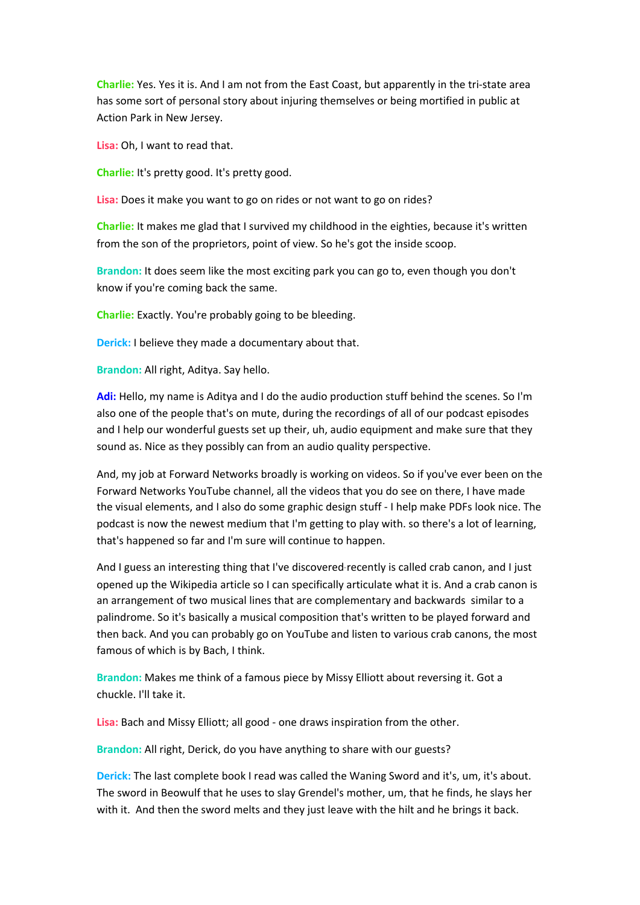**Charlie:** Yes. Yes it is. And I am not from the East Coast, but apparently in the tri-state area has some sort of personal story about injuring themselves or being mortified in public at Action Park in New Jersey.

**Lisa:** Oh, I want to read that.

**Charlie:** It's pretty good. It's pretty good.

**Lisa:** Does it make you want to go on rides or not want to go on rides?

**Charlie:** It makes me glad that I survived my childhood in the eighties, because it's written from the son of the proprietors, point of view. So he's got the inside scoop.

**Brandon:** It does seem like the most exciting park you can go to, even though you don't know if you're coming back the same.

**Charlie:** Exactly. You're probably going to be bleeding.

**Derick:** I believe they made a documentary about that.

**Brandon:** All right, Aditya. Say hello.

**Adi:** Hello, my name is Aditya and I do the audio production stuff behind the scenes. So I'm also one of the people that's on mute, during the recordings of all of our podcast episodes and I help our wonderful guests set up their, uh, audio equipment and make sure that they sound as. Nice as they possibly can from an audio quality perspective.

And, my job at Forward Networks broadly is working on videos. So if you've ever been on the Forward Networks YouTube channel, all the videos that you do see on there, I have made the visual elements, and I also do some graphic design stuff - I help make PDFs look nice. The podcast is now the newest medium that I'm getting to play with. so there's a lot of learning, that's happened so far and I'm sure will continue to happen.

And I guess an interesting thing that I've discovered recently is called crab canon, and I just opened up the Wikipedia article so I can specifically articulate what it is. And a crab canon is an arrangement of two musical lines that are complementary and backwards similar to a palindrome. So it's basically a musical composition that's written to be played forward and then back. And you can probably go on YouTube and listen to various crab canons, the most famous of which is by Bach, I think.

**Brandon:** Makes me think of a famous piece by Missy Elliott about reversing it. Got a chuckle. I'll take it.

**Lisa:** Bach and Missy Elliott; all good - one draws inspiration from the other.

**Brandon:** All right, Derick, do you have anything to share with our guests?

**Derick:** The last complete book I read was called the Waning Sword and it's, um, it's about. The sword in Beowulf that he uses to slay Grendel's mother, um, that he finds, he slays her with it. And then the sword melts and they just leave with the hilt and he brings it back.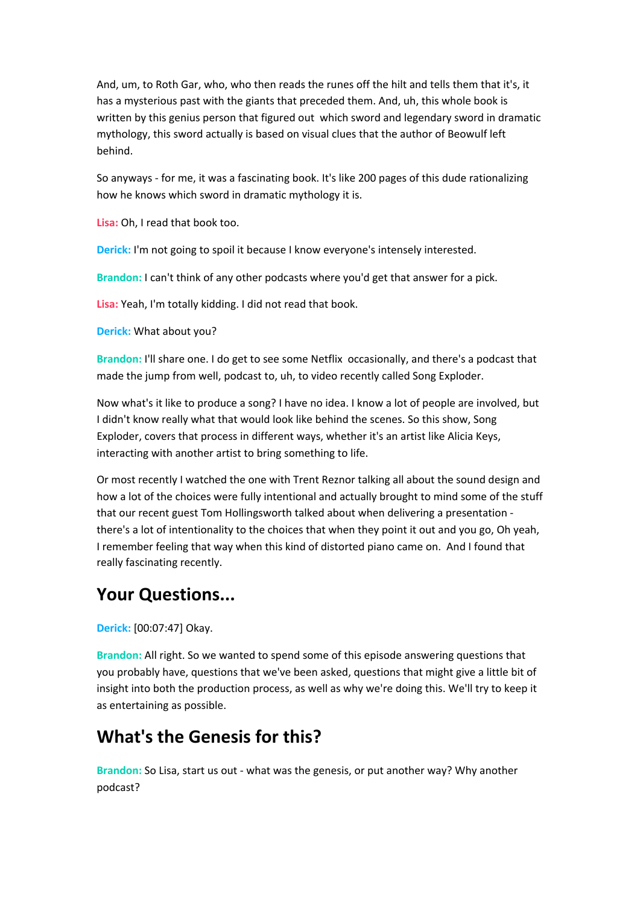And, um, to Roth Gar, who, who then reads the runes off the hilt and tells them that it's, it has a mysterious past with the giants that preceded them. And, uh, this whole book is written by this genius person that figured out which sword and legendary sword in dramatic mythology, this sword actually is based on visual clues that the author of Beowulf left behind.

So anyways - for me, it was a fascinating book. It's like 200 pages of this dude rationalizing how he knows which sword in dramatic mythology it is.

**Lisa:** Oh, I read that book too.

**Derick:** I'm not going to spoil it because I know everyone's intensely interested.

**Brandon:** I can't think of any other podcasts where you'd get that answer for a pick.

**Lisa:** Yeah, I'm totally kidding. I did not read that book.

**Derick:** What about you?

**Brandon:** I'll share one. I do get to see some Netflix occasionally, and there's a podcast that made the jump from well, podcast to, uh, to video recently called Song Exploder.

Now what's it like to produce a song? I have no idea. I know a lot of people are involved, but I didn't know really what that would look like behind the scenes. So this show, Song Exploder, covers that process in different ways, whether it's an artist like Alicia Keys, interacting with another artist to bring something to life.

Or most recently I watched the one with Trent Reznor talking all about the sound design and how a lot of the choices were fully intentional and actually brought to mind some of the stuff that our recent guest Tom Hollingsworth talked about when delivering a presentation there's a lot of intentionality to the choices that when they point it out and you go, Oh yeah, I remember feeling that way when this kind of distorted piano came on. And I found that really fascinating recently.

## **Your Questions...**

**Derick:** [00:07:47] Okay.

**Brandon:** All right. So we wanted to spend some of this episode answering questions that you probably have, questions that we've been asked, questions that might give a little bit of insight into both the production process, as well as why we're doing this. We'll try to keep it as entertaining as possible.

## **What's the Genesis for this?**

**Brandon:** So Lisa, start us out - what was the genesis, or put another way? Why another podcast?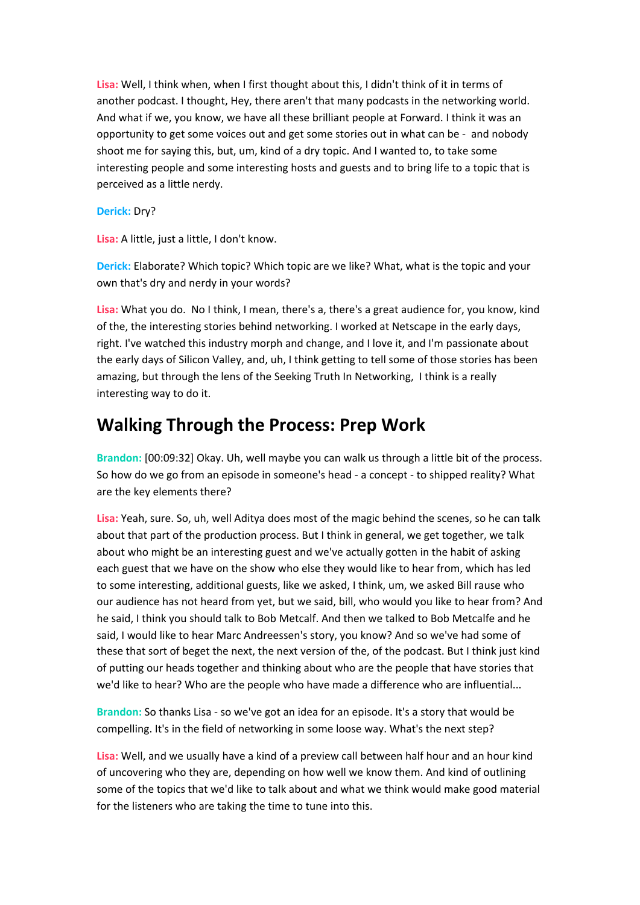**Lisa:** Well, I think when, when I first thought about this, I didn't think of it in terms of another podcast. I thought, Hey, there aren't that many podcasts in the networking world. And what if we, you know, we have all these brilliant people at Forward. I think it was an opportunity to get some voices out and get some stories out in what can be - and nobody shoot me for saying this, but, um, kind of a dry topic. And I wanted to, to take some interesting people and some interesting hosts and guests and to bring life to a topic that is perceived as a little nerdy.

#### **Derick:** Dry?

**Lisa:** A little, just a little, I don't know.

**Derick:** Elaborate? Which topic? Which topic are we like? What, what is the topic and your own that's dry and nerdy in your words?

**Lisa:** What you do. No I think, I mean, there's a, there's a great audience for, you know, kind of the, the interesting stories behind networking. I worked at Netscape in the early days, right. I've watched this industry morph and change, and I love it, and I'm passionate about the early days of Silicon Valley, and, uh, I think getting to tell some of those stories has been amazing, but through the lens of the Seeking Truth In Networking, I think is a really interesting way to do it.

## **Walking Through the Process: Prep Work**

**Brandon:** [00:09:32] Okay. Uh, well maybe you can walk us through a little bit of the process. So how do we go from an episode in someone's head - a concept - to shipped reality? What are the key elements there?

**Lisa:** Yeah, sure. So, uh, well Aditya does most of the magic behind the scenes, so he can talk about that part of the production process. But I think in general, we get together, we talk about who might be an interesting guest and we've actually gotten in the habit of asking each guest that we have on the show who else they would like to hear from, which has led to some interesting, additional guests, like we asked, I think, um, we asked Bill rause who our audience has not heard from yet, but we said, bill, who would you like to hear from? And he said, I think you should talk to Bob Metcalf. And then we talked to Bob Metcalfe and he said, I would like to hear Marc Andreessen's story, you know? And so we've had some of these that sort of beget the next, the next version of the, of the podcast. But I think just kind of putting our heads together and thinking about who are the people that have stories that we'd like to hear? Who are the people who have made a difference who are influential...

**Brandon:** So thanks Lisa - so we've got an idea for an episode. It's a story that would be compelling. It's in the field of networking in some loose way. What's the next step?

**Lisa:** Well, and we usually have a kind of a preview call between half hour and an hour kind of uncovering who they are, depending on how well we know them. And kind of outlining some of the topics that we'd like to talk about and what we think would make good material for the listeners who are taking the time to tune into this.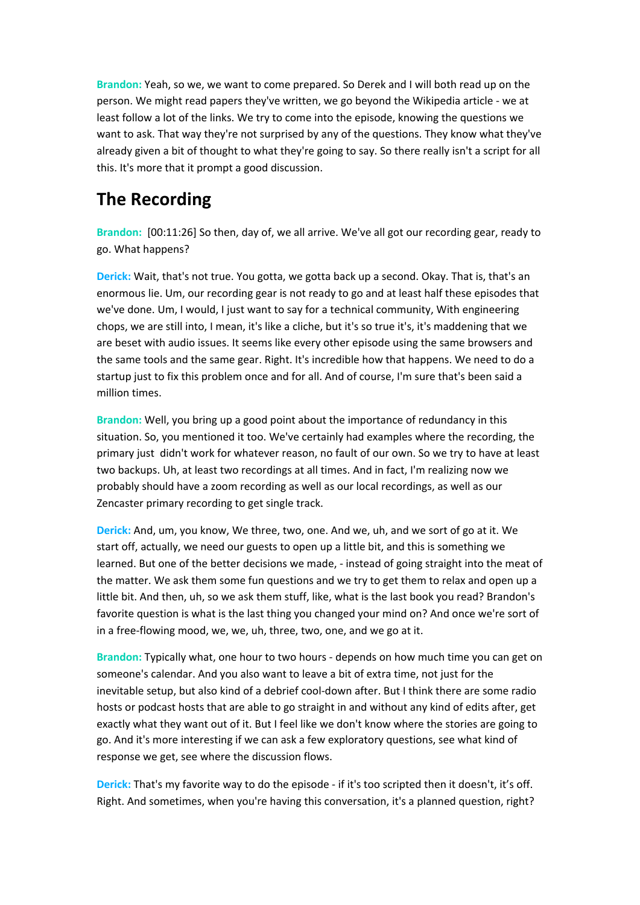**Brandon:** Yeah, so we, we want to come prepared. So Derek and I will both read up on the person. We might read papers they've written, we go beyond the Wikipedia article - we at least follow a lot of the links. We try to come into the episode, knowing the questions we want to ask. That way they're not surprised by any of the questions. They know what they've already given a bit of thought to what they're going to say. So there really isn't a script for all this. It's more that it prompt a good discussion.

# **The Recording**

**Brandon:** [00:11:26] So then, day of, we all arrive. We've all got our recording gear, ready to go. What happens?

**Derick:** Wait, that's not true. You gotta, we gotta back up a second. Okay. That is, that's an enormous lie. Um, our recording gear is not ready to go and at least half these episodes that we've done. Um, I would, I just want to say for a technical community, With engineering chops, we are still into, I mean, it's like a cliche, but it's so true it's, it's maddening that we are beset with audio issues. It seems like every other episode using the same browsers and the same tools and the same gear. Right. It's incredible how that happens. We need to do a startup just to fix this problem once and for all. And of course, I'm sure that's been said a million times.

**Brandon:** Well, you bring up a good point about the importance of redundancy in this situation. So, you mentioned it too. We've certainly had examples where the recording, the primary just didn't work for whatever reason, no fault of our own. So we try to have at least two backups. Uh, at least two recordings at all times. And in fact, I'm realizing now we probably should have a zoom recording as well as our local recordings, as well as our Zencaster primary recording to get single track.

**Derick:** And, um, you know, We three, two, one. And we, uh, and we sort of go at it. We start off, actually, we need our guests to open up a little bit, and this is something we learned. But one of the better decisions we made, - instead of going straight into the meat of the matter. We ask them some fun questions and we try to get them to relax and open up a little bit. And then, uh, so we ask them stuff, like, what is the last book you read? Brandon's favorite question is what is the last thing you changed your mind on? And once we're sort of in a free-flowing mood, we, we, uh, three, two, one, and we go at it.

**Brandon:** Typically what, one hour to two hours - depends on how much time you can get on someone's calendar. And you also want to leave a bit of extra time, not just for the inevitable setup, but also kind of a debrief cool-down after. But-I think there are some radio hosts or podcast hosts that are able to go straight in and without any kind of edits after, get exactly what they want out of it. But I feel like we don't know where the stories are going to go. And it's more interesting if we can ask a few exploratory questions, see what kind of response we get, see where the discussion flows.

**Derick:** That's my favorite way to do the episode - if it's too scripted then it doesn't, it's off. Right. And sometimes, when you're having this conversation, it's a planned question, right?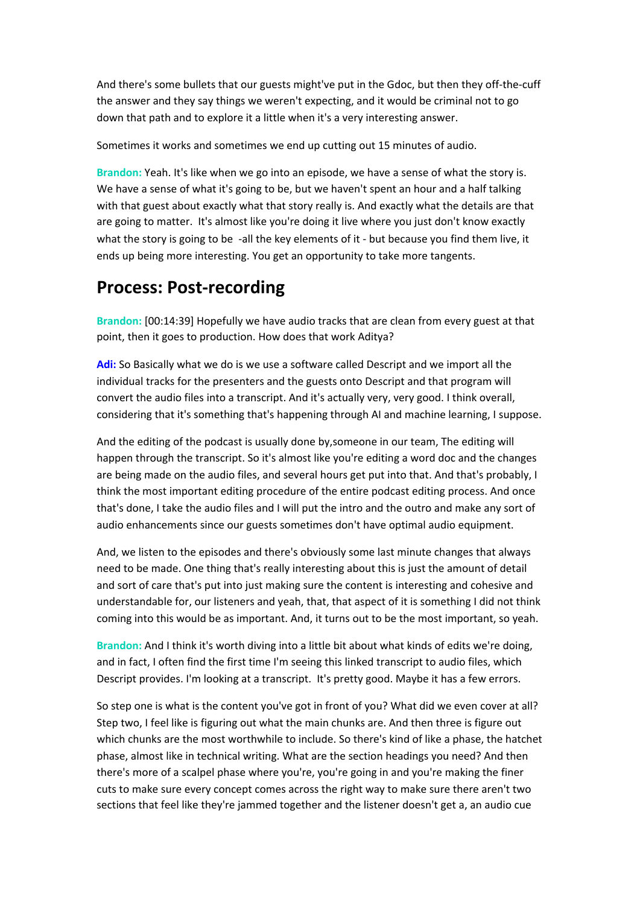And there's some bullets that our guests might've put in the Gdoc, but then they off-the-cuff the answer and they say things we weren't expecting, and it would be criminal not to go down that path and to explore it a little when it's a very interesting answer.

Sometimes it works and sometimes we end up cutting out 15 minutes of audio.

**Brandon:** Yeah. It's like when we go into an episode, we have a sense of what the story is. We have a sense of what it's going to be, but we haven't spent an hour and a half talking with that guest about exactly what that story really is. And exactly what the details are that are going to matter. It's almost like you're doing it live where you just don't know exactly what the story is going to be -all the key elements of it - but because you find them live, it ends up being more interesting. You get an opportunity to take more tangents.

#### **Process: Post-recording**

**Brandon:** [00:14:39] Hopefully we have audio tracks that are clean from every guest at that point, then it goes to production. How does that work Aditya?

**Adi:** So Basically what we do is we use a software called Descript and we import all the individual tracks for the presenters and the guests onto Descript and that program will convert the audio files into a transcript. And it's actually very, very good. I think overall, considering that it's something that's happening through AI and machine learning, I suppose.

And the editing of the podcast is usually done by,someone in our team, The editing will happen through the transcript. So it's almost like you're editing a word doc and the changes are being made on the audio files, and several hours get put into that. And that's probably, I think the most important editing procedure of the entire podcast editing process. And once that's done, I take the audio files and I will put the intro and the outro and make any sort of audio enhancements since our guests sometimes don't have optimal audio equipment.

And, we listen to the episodes and there's obviously some last minute changes that always need to be made. One thing that's really interesting about this is just the amount of detail and sort of care that's put into just making sure the content is interesting and cohesive and understandable for, our listeners and yeah, that, that aspect of it is something I did not think coming into this would be as important. And, it turns out to be the most important, so yeah.

**Brandon:** And I think it's worth diving into a little bit about what kinds of edits we're doing, and in fact, I often find the first time I'm seeing this linked transcript to audio files, which Descript provides. I'm looking at a transcript. It's pretty good. Maybe it has a few errors.

So step one is what is the content you've got in front of you? What did we even cover at all? Step two, I feel like is figuring out what the main chunks are. And then three is figure out which chunks are the most worthwhile to include. So there's kind of like a phase, the hatchet phase, almost like in technical writing. What are the section headings you need? And then there's more of a scalpel phase where you're, you're going in and you're making the finer cuts to make sure every concept comes across the right way to make sure there aren't two sections that feel like they're jammed together and the listener doesn't get a, an audio cue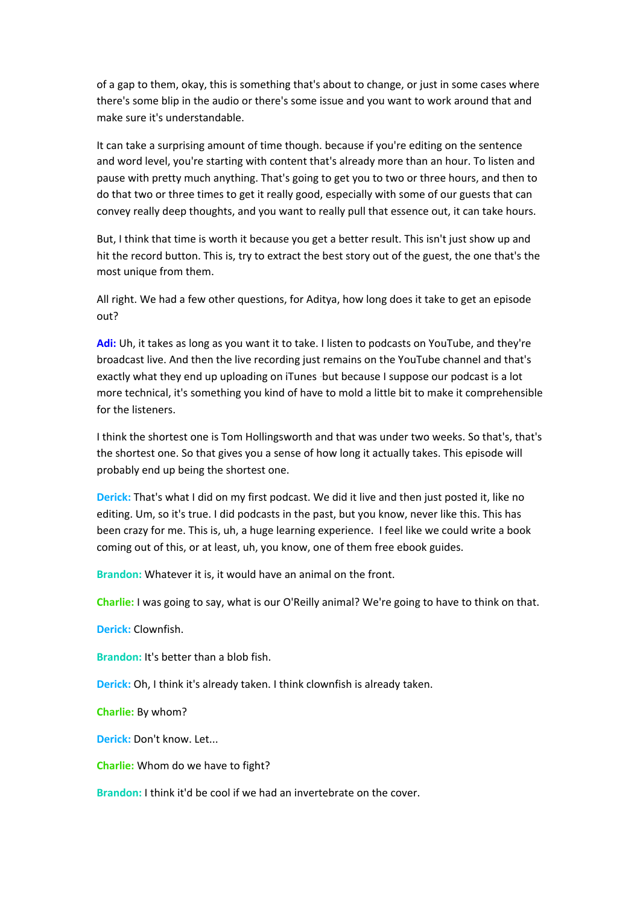of a gap to them, okay, this is something that's about to change, or just in some cases where there's some blip in the audio or there's some issue and you want to work around that and make sure it's understandable.

It can take a surprising amount of time though. because if you're editing on the sentence and word level, you're starting with content that's already more than an hour. To listen and pause with pretty much anything. That's going to get you to two or three hours, and then to do that two or three times to get it really good, especially with some of our guests that can convey really deep thoughts, and you want to really pull that essence out, it can take hours.

But, I think that time is worth it because you get a better result. This isn't just show up and hit the record button. This is, try to extract the best story out of the guest, the one that's the most unique from them.

All right. We had a few other questions, for Aditya, how long does it take to get an episode out?

**Adi:** Uh, it takes as long as you want it to take. I listen to podcasts on YouTube, and they're broadcast live. And then the live recording just remains on the YouTube channel and that's exactly what they end up uploading on iTunes -but because I suppose our podcast is a lot more technical, it's something you kind of have to mold a little bit to make it comprehensible for the listeners.

I think the shortest one is Tom Hollingsworth and that was under two weeks. So that's, that's the shortest one. So that gives you a sense of how long it actually takes. This episode will probably end up being the shortest one.

**Derick:** That's what I did on my first podcast. We did it live and then just posted it, like no editing. Um, so it's true. I did podcasts in the past, but you know, never like this. This has been crazy for me. This is, uh, a huge learning experience. I feel like we could write a book coming out of this, or at least, uh, you know, one of them free ebook guides.

**Brandon:** Whatever it is, it would have an animal on the front.

**Charlie:** I was going to say, what is our O'Reilly animal? We're going to have to think on that.

**Derick:** Clownfish.

**Brandon:** It's better than a blob fish.

**Derick:** Oh, I think it's already taken. I think clownfish is already taken.

**Charlie:** By whom?

**Derick:** Don't know. Let...

**Charlie:** Whom do we have to fight?

**Brandon:** I think it'd be cool if we had an invertebrate on the cover.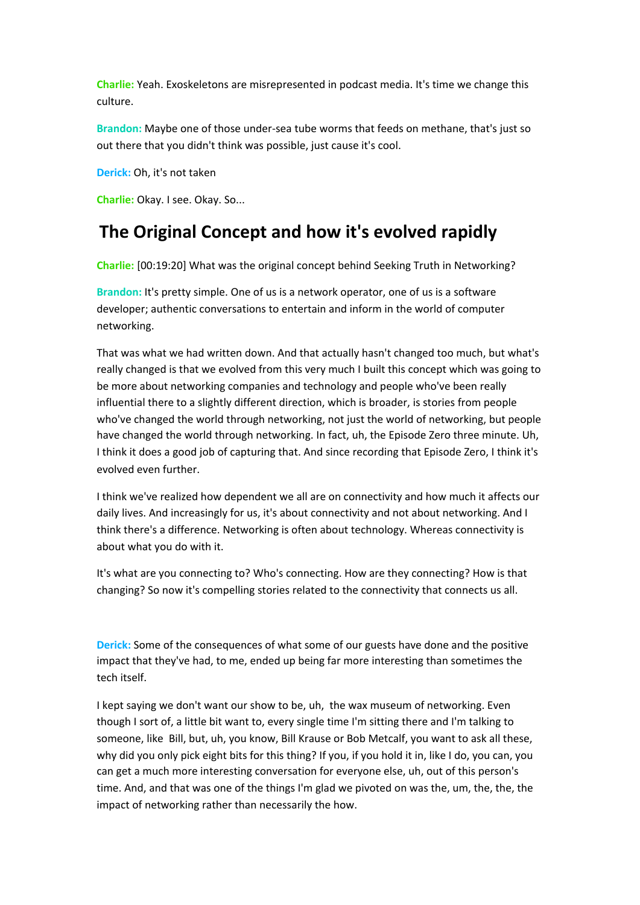**Charlie:** Yeah. Exoskeletons are misrepresented in podcast media. It's time we change this culture.

**Brandon:** Maybe one of those under-sea tube worms that feeds on methane, that's just so out there that you didn't think was possible, just cause it's cool.

**Derick:** Oh, it's not taken

**Charlie:** Okay. I see. Okay. So...

## **The Original Concept and how it's evolved rapidly**

**Charlie:** [00:19:20] What was the original concept behind Seeking Truth in Networking?

**Brandon:** It's pretty simple. One of us is a network operator, one of us is a software developer; authentic conversations to entertain and inform in the world of computer networking.

That was what we had written down. And that actually hasn't changed too much, but what's really changed is that we evolved from this very much I built this concept which was going to be more about networking companies and technology and people who've been really influential there to a slightly different direction, which is broader, is stories from people who've changed the world through networking, not just the world of networking, but people have changed the world through networking. In fact, uh, the Episode Zero three minute. Uh, I think it does a good job of capturing that. And since recording that Episode Zero, I think it's evolved even further.

I think we've realized how dependent we all are on connectivity and how much it affects our daily lives. And increasingly for us, it's about connectivity and not about networking. And I think there's a difference. Networking is often about technology. Whereas connectivity is about what you do with it.

It's what are you connecting to? Who's connecting. How are they connecting? How is that changing? So now it's compelling stories related to the connectivity that connects us all.

**Derick:** Some of the consequences of what some of our guests have done and the positive impact that they've had, to me, ended up being far more interesting than sometimes the tech itself.

I kept saying we don't want our show to be, uh, the wax museum of networking. Even though I sort of, a little bit want to, every single time I'm sitting there and I'm talking to someone, like Bill, but, uh, you know, Bill Krause or Bob Metcalf, you want to ask all these, why did you only pick eight bits for this thing? If you, if you hold it in, like I do, you can, you can get a much more interesting conversation for everyone else, uh, out of this person's time. And, and that was one of the things I'm glad we pivoted on was the, um, the, the, the impact of networking rather than necessarily the how.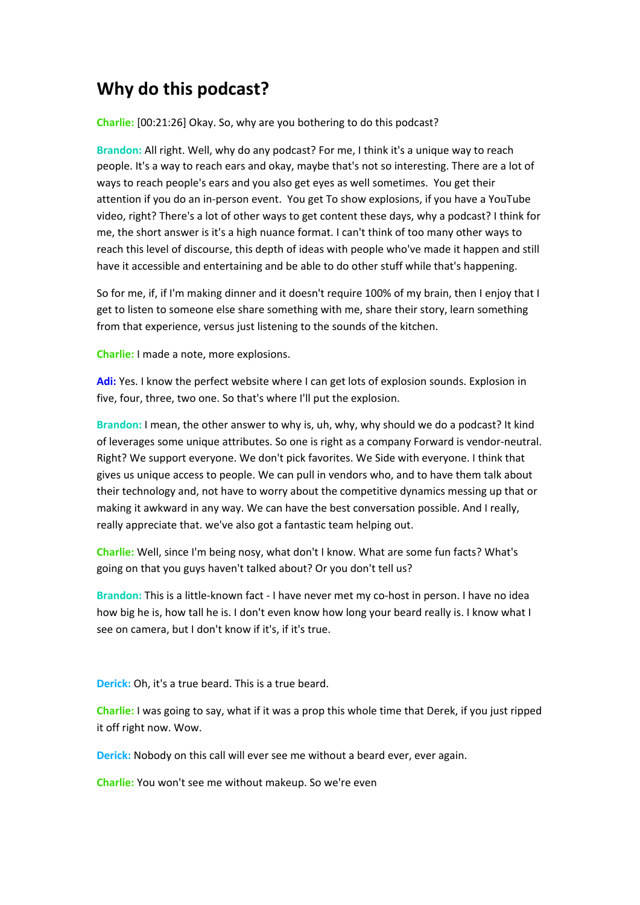## **Why do this podcast?**

**Charlie:** [00:21:26] Okay. So, why are you bothering to do this podcast?

**Brandon:** All right. Well, why do any podcast? For me, I think it's a unique way to reach people. It's a way to reach ears and okay, maybe that's not so interesting. There are a lot of ways to reach people's ears and you also get eyes as well sometimes. You get their attention if you do an in-person event. You get To show explosions, if you have a YouTube video, right? There's a lot of other ways to get content these days, why a podcast? I think for me, the short answer is it's a high nuance format. I can't think of too many other ways to reach this level of discourse, this depth of ideas with people who've made it happen and still have it accessible and entertaining and be able to do other stuff while that's happening.

So for me, if, if I'm making dinner and it doesn't require 100% of my brain, then I enjoy that I get to listen to someone else share something with me, share their story, learn something from that experience, versus just listening to the sounds of the kitchen.

**Charlie:** I made a note, more explosions.

**Adi:** Yes. I know the perfect website where I can get lots of explosion sounds. Explosion in five, four, three, two one. So that's where I'll put the explosion.

**Brandon:** I mean, the other answer to why is, uh, why, why should we do a podcast? It kind of leverages some unique attributes. So one is right as a company Forward is vendor-neutral. Right? We support everyone. We don't pick favorites. We Side with everyone. I think that gives us unique access to people. We can pull in vendors who, and to have them talk about their technology and, not have to worry about the competitive dynamics messing up that or making it awkward in any way. We can have the best conversation possible. And I really, really appreciate that. we've also got a fantastic team helping out.

**Charlie:** Well, since I'm being nosy, what don't I know. What are some fun facts? What's going on that you guys haven't talked about? Or you don't tell us?

**Brandon:** This is a little-known fact - I have never met my co-host in person. I have no idea how big he is, how tall he is. I don't even know how long your beard really is. I know what I see on camera, but I don't know if it's, if it's true.

**Derick:** Oh, it's a true beard. This is a true beard.

**Charlie:** I was going to say, what if it was a prop this whole time that Derek, if you just ripped it off right now. Wow.

**Derick:** Nobody on this call will ever see me without a beard ever, ever again.

**Charlie:** You won't see me without makeup. So we're even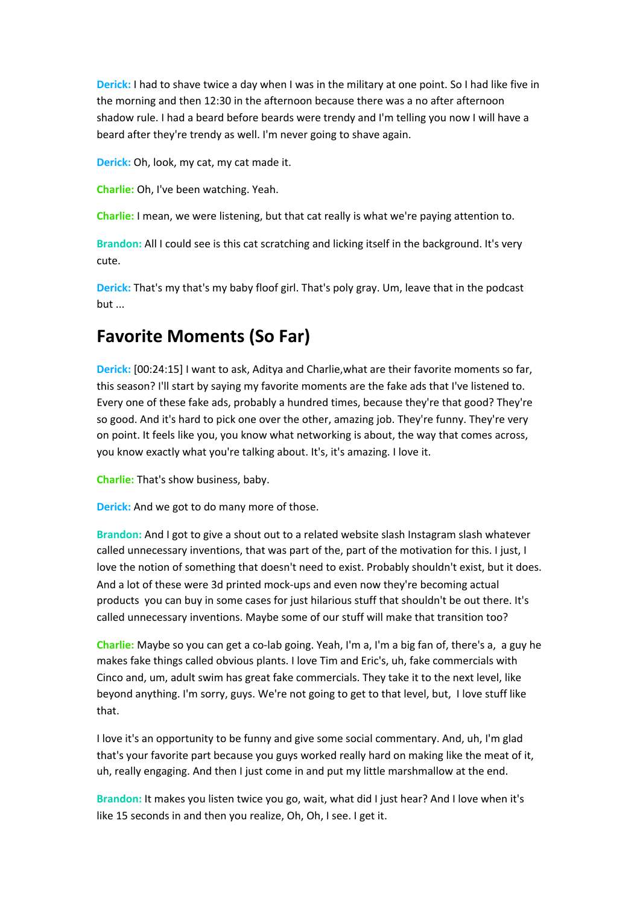**Derick:** I had to shave twice a day when I was in the military at one point. So I had like five in the morning and then 12:30 in the afternoon because there was a no after afternoon shadow rule. I had a beard before beards were trendy and I'm telling you now I will have a beard after they're trendy as well. I'm never going to shave again.

**Derick:** Oh, look, my cat, my cat made it.

**Charlie:** Oh, I've been watching. Yeah.

**Charlie:** I mean, we were listening, but that cat really is what we're paying attention to.

**Brandon:** All I could see is this cat scratching and licking itself in the background. It's very cute.

**Derick:** That's my that's my baby floof girl. That's poly gray. Um, leave that in the podcast but ...

## **Favorite Moments (So Far)**

**Derick:** [00:24:15] I want to ask, Aditya and Charlie,what are their favorite moments so far, this season? I'll start by saying my favorite moments are the fake ads that I've listened to. Every one of these fake ads, probably a hundred times, because they're that good? They're so good. And it's hard to pick one over the other, amazing job. They're funny. They're very on point. It feels like you, you know what networking is about, the way that comes across, you know exactly what you're talking about. It's, it's amazing. I love it.

**Charlie:** That's show business, baby.

**Derick:** And we got to do many more of those.

**Brandon:** And I got to give a shout out to a related website slash Instagram slash whatever called unnecessary inventions, that was part of the, part of the motivation for this. I just, I love the notion of something that doesn't need to exist. Probably shouldn't exist, but it does. And a lot of these were 3d printed mock-ups and even now they're becoming actual products you can buy in some cases for just hilarious stuff that shouldn't be out there. It's called unnecessary inventions. Maybe some of our stuff will make that transition too?

**Charlie:** Maybe so you can get a co-lab going. Yeah, I'm a, I'm a big fan of, there's a, a guy he makes fake things called obvious plants. I love Tim and Eric's, uh, fake commercials with Cinco and, um, adult swim has great fake commercials. They take it to the next level, like beyond anything. I'm sorry, guys. We're not going to get to that level, but, I love stuff like that.

I love it's an opportunity to be funny and give some social commentary. And, uh, I'm glad that's your favorite part because you guys worked really hard on making like the meat of it, uh, really engaging. And then I just come in and put my little marshmallow at the end.

**Brandon:** It makes you listen twice you go, wait, what did I just hear? And I love when it's like 15 seconds in and then you realize, Oh, Oh, I see. I get it.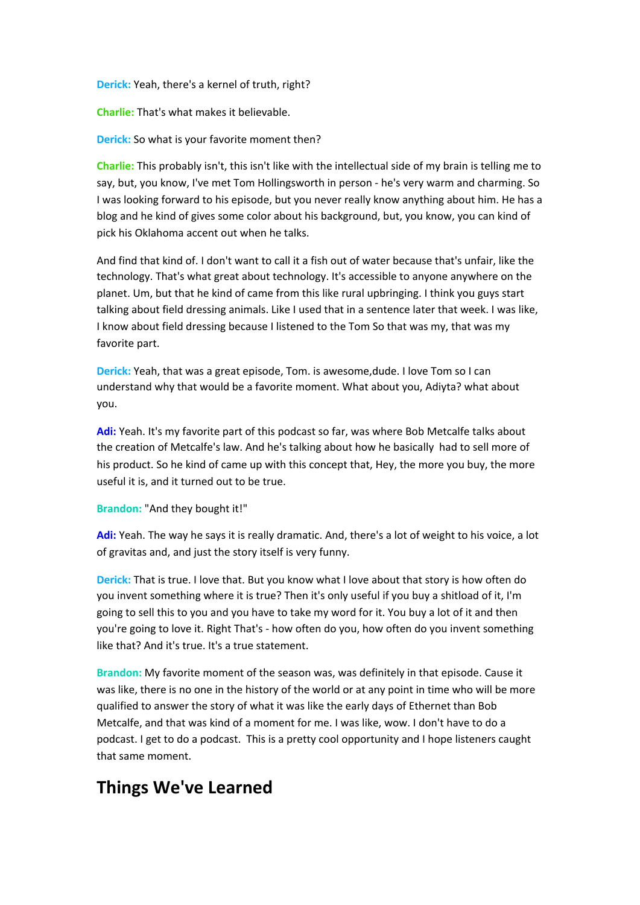**Derick:** Yeah, there's a kernel of truth, right?

**Charlie:** That's what makes it believable.

**Derick:** So what is your favorite moment then?

**Charlie:** This probably isn't, this isn't like with the intellectual side of my brain is telling me to say, but, you know, I've met Tom Hollingsworth in person - he's very warm and charming. So I was looking forward to his episode, but you never really know anything about him. He has a blog and he kind of gives some color about his background, but, you know, you can kind of pick his Oklahoma accent out when he talks.

And find that kind of. I don't want to call it a fish out of water because that's unfair, like the technology. That's what great about technology. It's accessible to anyone anywhere on the planet. Um, but that he kind of came from this like rural upbringing. I think you guys start talking about field dressing animals. Like I used that in a sentence later that week. I was like, I know about field dressing because I listened to the Tom So that was my, that was my favorite part.

**Derick:** Yeah, that was a great episode, Tom. is awesome,dude. I love Tom so I can understand why that would be a favorite moment. What about you, Adiyta? what about you.

**Adi:** Yeah. It's my favorite part of this podcast so far, was where Bob Metcalfe talks about the creation of Metcalfe's law. And he's talking about how he basically had to sell more of his product. So he kind of came up with this concept that, Hey, the more you buy, the more useful it is, and it turned out to be true.

**Brandon:** "And they bought it!"

**Adi:** Yeah. The way he says it is really dramatic. And, there's a lot of weight to his voice, a lot of gravitas and, and just the story itself is very funny.

**Derick:** That is true. I love that. But you know what I love about that story is how often do you invent something where it is true? Then it's only useful if you buy a shitload of it, I'm going to sell this to you and you have to take my word for it. You buy a lot of it and then you're going to love it. Right That's - how often do you, how often do you invent something like that? And it's true. It's a true statement.

**Brandon:** My favorite moment of the season was, was definitely in that episode. Cause it was like, there is no one in the history of the world or at any point in time who will be more qualified to answer the story of what it was like the early days of Ethernet than Bob Metcalfe, and that was kind of a moment for me. I was like, wow. I don't have to do a podcast. I get to do a podcast. This is a pretty cool opportunity and I hope listeners caught that same moment.

## **Things We've Learned**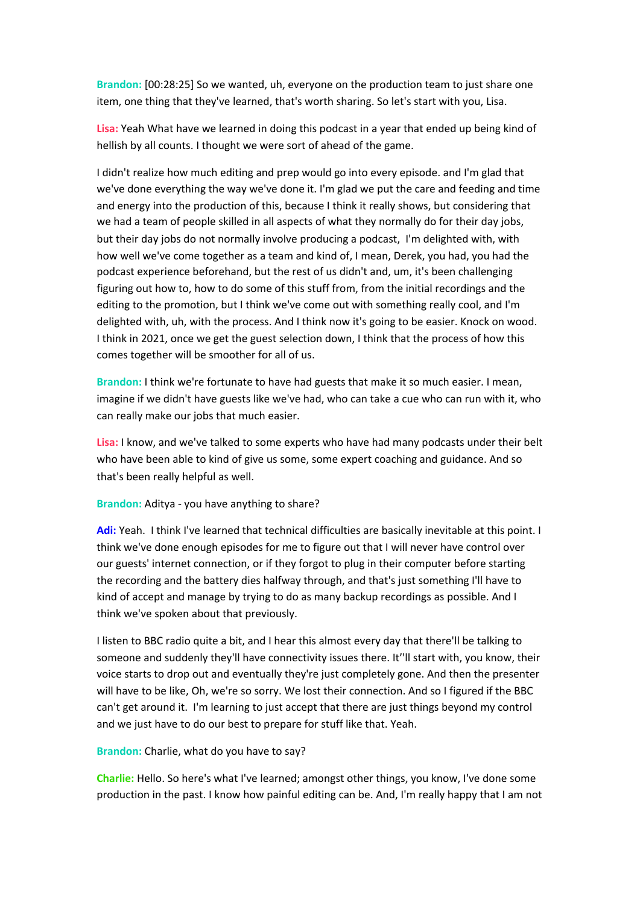**Brandon:** [00:28:25] So we wanted, uh, everyone on the production team to just share one item, one thing that they've learned, that's worth sharing. So let's start with you, Lisa.

**Lisa:** Yeah What have we learned in doing this podcast in a year that ended up being kind of hellish by all counts. I thought we were sort of ahead of the game.

I didn't realize how much editing and prep would go into every episode. and I'm glad that we've done everything the way we've done it. I'm glad we put the care and feeding and time and energy into the production of this, because I think it really shows, but considering that we had a team of people skilled in all aspects of what they normally do for their day jobs, but their day jobs do not normally involve producing a podcast, I'm delighted with, with how well we've come together as a team and kind of, I mean, Derek, you had, you had the podcast experience beforehand, but the rest of us didn't and, um, it's been challenging figuring out how to, how to do some of this stuff from, from the initial recordings and the editing to the promotion, but I think we've come out with something really cool, and I'm delighted with, uh, with the process. And I think now it's going to be easier. Knock on wood. I think in 2021, once we get the guest selection down, I think that the process of how this comes together will be smoother for all of us.

**Brandon:** I think we're fortunate to have had guests that make it so much easier. I mean, imagine if we didn't have guests like we've had, who can take a cue who can run with it, who can really make our jobs that much easier.

**Lisa:** I know, and we've talked to some experts who have had many podcasts under their belt who have been able to kind of give us some, some expert coaching and guidance. And so that's been really helpful as well.

**Brandon:** Aditya - you have anything to share?

**Adi:** Yeah. I think I've learned that technical difficulties are basically inevitable at this point. I think we've done enough episodes for me to figure out that I will never have control over our guests' internet connection, or if they forgot to plug in their computer before starting the recording and the battery dies halfway through, and that's just something I'll have to kind of accept and manage by trying to do as many backup recordings as possible. And I think we've spoken about that previously.

I listen to BBC radio quite a bit, and I hear this almost every day that there'll be talking to someone and suddenly they'll have connectivity issues there. It''ll start with, you know, their voice starts to drop out and eventually they're just completely gone. And then the presenter will have to be like, Oh, we're so sorry. We lost their connection. And so I figured if the BBC can't get around it. I'm learning to just accept that there are just things beyond my control and we just have to do our best to prepare for stuff like that. Yeah.

#### **Brandon:** Charlie, what do you have to say?

**Charlie:** Hello. So here's what I've learned; amongst other things, you know, I've done some production in the past. I know how painful editing can be. And, I'm really happy that I am not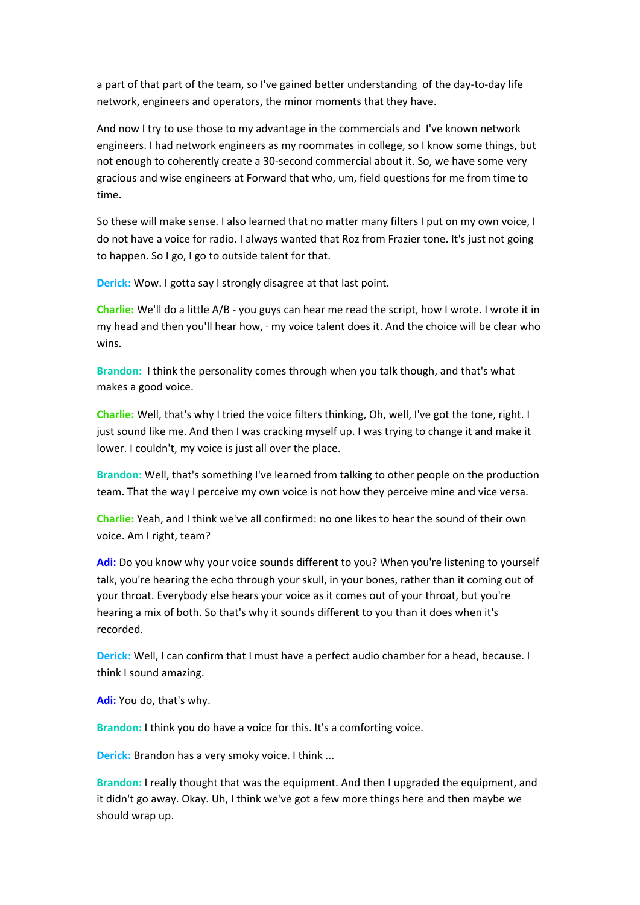a part of that part of the team, so I've gained better understanding of the day-to-day life network, engineers and operators, the minor moments that they have.

And now I try to use those to my advantage in the commercials and I've known network engineers. I had network engineers as my roommates in college, so I know some things, but not enough to coherently create a 30-second commercial about it. So, we have some very gracious and wise engineers at Forward that who, um, field questions for me from time to time.

So these will make sense. I also learned that no matter many filters I put on my own voice, I do not have a voice for radio. I always wanted that Roz from Frazier tone. It's just not going to happen. So I go, I go to outside talent for that.

**Derick:** Wow. I gotta say I strongly disagree at that last point.

**Charlie:** We'll do a little A/B - you guys can hear me read the script, how I wrote. I wrote it in my head and then you'll hear how, - my voice talent does it. And the choice will be clear who wins.

**Brandon:** I think the personality comes through when you talk though, and that's what makes a good voice.

**Charlie:** Well, that's why I tried the voice filters thinking, Oh, well, I've got the tone, right. I just sound like me. And then I was cracking myself up. I was trying to change it and make it lower. I couldn't, my voice is just all over the place.

**Brandon:** Well, that's something I've learned from talking to other people on the production team. That the way I perceive my own voice is not how they perceive mine and vice versa.

**Charlie:** Yeah, and I think we've all confirmed: no one likes to hear the sound of their own voice. Am I right, team?

**Adi:** Do you know why your voice sounds different to you? When you're listening to yourself talk, you're hearing the echo through your skull, in your bones, rather than it coming out of your throat. Everybody else hears your voice as it comes out of your throat, but you're hearing a mix of both. So that's why it sounds different to you than it does when it's recorded.

**Derick:** Well, I can confirm that I must have a perfect audio chamber for a head, because. I think I sound amazing.

**Adi:** You do, that's why.

**Brandon:** I think you do have a voice for this. It's a comforting voice.

**Derick:** Brandon has a very smoky voice. I think ...

**Brandon:** I really thought that was the equipment. And then I upgraded the equipment, and it didn't go away. Okay. Uh, I think we've got a few more things here and then maybe we should wrap up.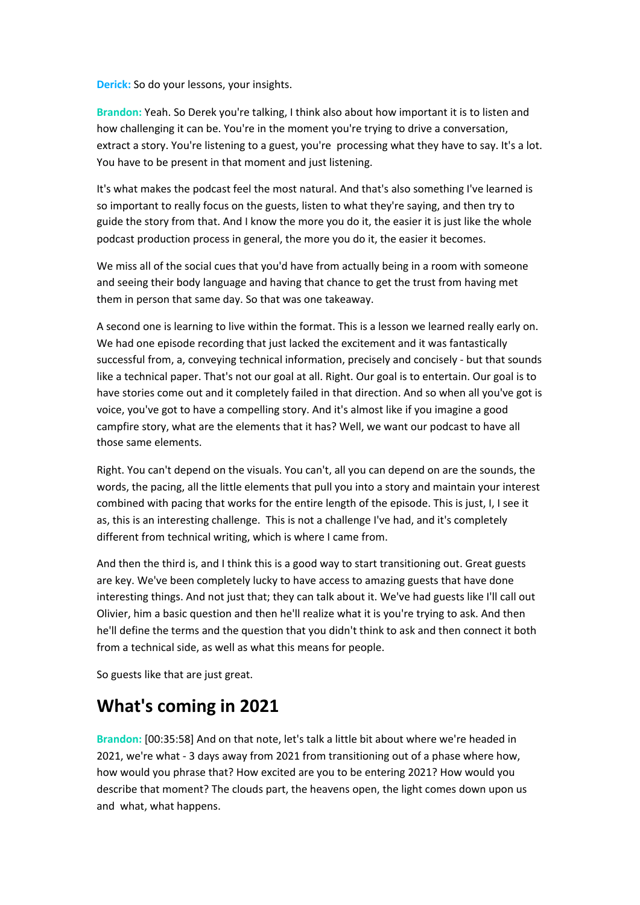**Derick:** So do your lessons, your insights.

**Brandon:** Yeah. So Derek you're talking, I think also about how important it is to listen and how challenging it can be. You're in the moment you're trying to drive a conversation, extract a story. You're listening to a guest, you're processing what they have to say. It's a lot. You have to be present in that moment and just listening.

It's what makes the podcast feel the most natural. And that's also something I've learned is so important to really focus on the guests, listen to what they're saying, and then try to guide the story from that. And I know the more you do it, the easier it is just like the whole podcast production process in general, the more you do it, the easier it becomes.

We miss all of the social cues that you'd have from actually being in a room with someone and seeing their body language and having that chance to get the trust from having met them in person that same day. So that was one takeaway.

A second one is learning to live within the format. This is a lesson we learned really early on. We had one episode recording that just lacked the excitement and it was fantastically successful from, a, conveying technical information, precisely and concisely - but that sounds like a technical paper. That's not our goal at all. Right. Our goal is to entertain. Our goal is to have stories come out and it completely failed in that direction. And so when all you've got is voice, you've got to have a compelling story. And it's almost like if you imagine a good campfire story, what are the elements that it has? Well, we want our podcast to have all those same elements.

Right. You can't depend on the visuals. You can't, all you can depend on are the sounds, the words, the pacing, all the little elements that pull you into a story and maintain your interest combined with pacing that works for the entire length of the episode. This is just, I, I see it as, this is an interesting challenge. This is not a challenge I've had, and it's completely different from technical writing, which is where I came from.

And then the third is, and I think this is a good way to start transitioning out. Great guests are key. We've been completely lucky to have access to amazing guests that have done interesting things. And not just that; they can talk about it. We've had guests like I'll call out Olivier, him a basic question and then he'll realize what it is you're trying to ask. And then he'll define the terms and the question that you didn't think to ask and then connect it both from a technical side, as well as what this means for people.

So guests like that are just great.

## **What's coming in 2021**

**Brandon:** [00:35:58] And on that note, let's talk a little bit about where we're headed in 2021, we're what - 3 days away from 2021 from transitioning out of a phase where how, how would you phrase that? How excited are you to be entering 2021? How would you describe that moment? The clouds part, the heavens open, the light comes down upon us and what, what happens.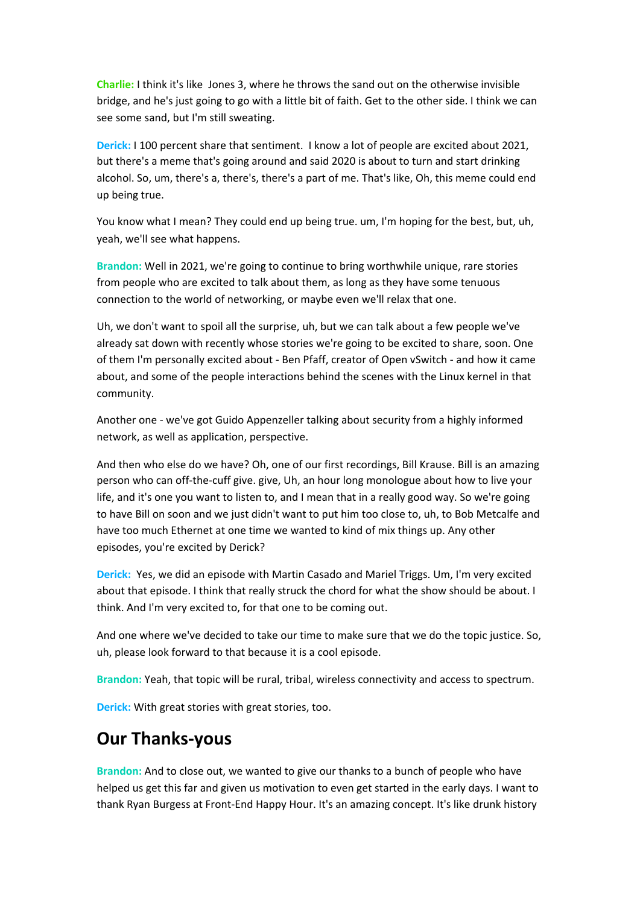**Charlie:** I think it's like Jones 3, where he throws the sand out on the otherwise invisible bridge, and he's just going to go with a little bit of faith. Get to the other side. I think we can see some sand, but I'm still sweating.

**Derick:** I 100 percent share that sentiment. I know a lot of people are excited about 2021, but there's a meme that's going around and said 2020 is about to turn and start drinking alcohol. So, um, there's a, there's, there's a part of me. That's like, Oh, this meme could end up being true.

You know what I mean? They could end up being true. um, I'm hoping for the best, but, uh, yeah, we'll see what happens.

**Brandon:** Well in 2021, we're going to continue to bring worthwhile unique, rare stories from people who are excited to talk about them, as long as they have some tenuous connection to the world of networking, or maybe even we'll relax that one.

Uh, we don't want to spoil all the surprise, uh, but we can talk about a few people we've already sat down with recently whose stories we're going to be excited to share, soon. One of them I'm personally excited about - Ben Pfaff, creator of Open vSwitch - and how it came about, and some of the people interactions behind the scenes with the Linux kernel in that community.

Another one - we've got Guido Appenzeller talking about security from a highly informed network, as well as application, perspective.

And then who else do we have? Oh, one of our first recordings, Bill Krause. Bill is an amazing person who can off-the-cuff give. give, Uh, an hour long monologue about how to live your life, and it's one you want to listen to, and I mean that in a really good way. So we're going to have Bill on soon and we just didn't want to put him too close to, uh, to Bob Metcalfe and have too much Ethernet at one time we wanted to kind of mix things up. Any other episodes, you're excited by Derick?

**Derick:** Yes, we did an episode with Martin Casado and Mariel Triggs. Um, I'm very excited about that episode. I think that really struck the chord for what the show should be about. I think. And I'm very excited to, for that one to be coming out.

And one where we've decided to take our time to make sure that we do the topic justice. So, uh, please look forward to that because it is a cool episode.

**Brandon:** Yeah, that topic will be rural, tribal, wireless connectivity and access to spectrum.

**Derick:** With great stories with great stories, too.

#### **Our Thanks-yous**

**Brandon:** And to close out, we wanted to give our thanks to a bunch of people who have helped us get this far and given us motivation to even get started in the early days. I want to thank Ryan Burgess at Front-End Happy Hour. It's an amazing concept. It's like drunk history